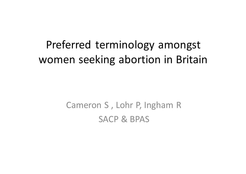## Preferred terminology amongst women seeking abortion in Britain

#### Cameron S, Lohr P, Ingham R SACP & BPAS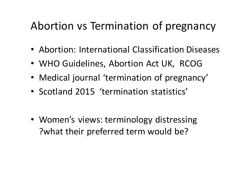### Abortion vs Termination of pregnancy

- Abortion: International Classification Diseases
- WHO Guidelines, Abortion Act UK, RCOG
- Medical journal 'termination of pregnancy'
- Scotland 2015 'termination statistics'

• Women's views: terminology distressing ?what their preferred term would be?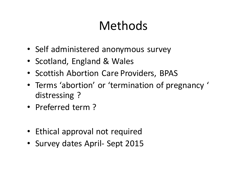# Methods

- Self administered anonymous survey
- Scotland, England & Wales
- Scottish Abortion Care Providers, BPAS
- Terms 'abortion' or 'termination of pregnancy ' distressing?
- Preferred term?
- Ethical approval not required
- Survey dates April- Sept 2015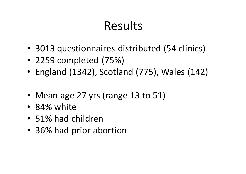# Results

- 3013 questionnaires distributed (54 clinics)
- 2259 completed (75%)
- England (1342), Scotland (775), Wales (142)
- Mean age 27 yrs (range 13 to 51)
- 84% white
- 51% had children
- 36% had prior abortion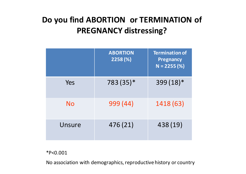#### Do you find ABORTION or TERMINATION of **PREGNANCY distressing?**

|        | <b>ABORTION</b><br>2258(%) | <b>Termination of</b><br><b>Pregnancy</b><br>$N = 2255 (%)$ |
|--------|----------------------------|-------------------------------------------------------------|
| Yes    | 783 (35)*                  | $399(18)*$                                                  |
| No     | 999 (44)                   | 1418 (63)                                                   |
| Unsure | 476 (21)                   | 438 (19)                                                    |

\*P<0.001

No association with demographics, reproductive history or country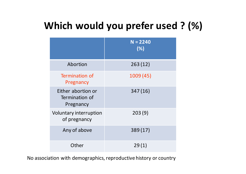#### **Which would you prefer used ? (%)**

|                                                   | $N = 2240$<br>(%) |
|---------------------------------------------------|-------------------|
| Abortion                                          | 263(12)           |
| Termination of<br>Pregnancy                       | 1009 (45)         |
| Either abortion or<br>Termination of<br>Pregnancy | 347 (16)          |
| Voluntary interruption<br>of pregnancy            | 203(9)            |
| Any of above                                      | 389 (17)          |
| Other                                             | 29(1)             |

No association with demographics, reproductive history or country